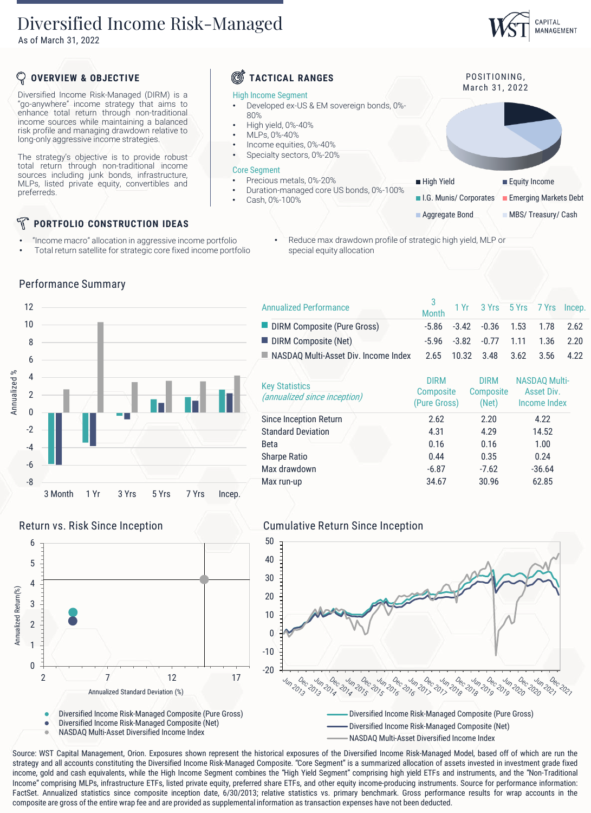# Diversified Income Risk-Managed

As of March 31, 2022

# CAPITAL MANAGEMENT

## **OVERVIEW & OBJECTIVE TACTICAL RANGES**

Diversified Income Risk-Managed (DIRM) is a "go-anywhere" income strategy that aims to enhance total return through non-traditional income sources while maintaining a balanced risk profile and managing drawdown relative to long-only aggressive income strategies.

The strategy's objective is to provide robust total return through non-traditional income sources including junk bonds, infrastructure, MLPs, listed private equity, convertibles and preferreds.

# **PORTFOLIO CONSTRUCTION IDEAS**

Performance Summary

- "Income macro" allocation in aggressive income portfolio
- Total return satellite for strategic core fixed income portfolio

### High Income Segment

- Developed ex-US & EM sovereign bonds, 0%- 80%
- High yield, 0%-40%
- MLPs, 0%-40%
- Income equities, 0%-40%
- Specialty sectors, 0%-20%

### Core Segment

- Precious metals, 0%-20%
- Duration-managed core US bonds, 0%-100%
- Cash, 0%-100%

POSITIONING. March 31, 2022

■ High Yield **Equity Income I.G. Munis/ Corporates** Emerging Markets Debt **Aggregate Bond MBS/ Treasury/ Cash** 

• Reduce max drawdown profile of strategic high yield, MLP or special equity allocation

|              | 12             |         |      |       |       |       |        |
|--------------|----------------|---------|------|-------|-------|-------|--------|
| Annualized % | 10             |         |      |       |       |       |        |
|              | 8              |         |      |       |       |       |        |
|              | 6              |         |      |       |       |       |        |
|              | $\overline{4}$ |         |      |       |       |       |        |
|              | $\overline{2}$ |         |      |       |       |       |        |
|              | $\pmb{0}$      |         |      |       |       |       |        |
|              | $-2$           |         |      |       |       |       |        |
|              | $-4$           |         |      |       |       |       |        |
|              | $-6$           |         |      |       |       |       |        |
|              | $-8$           |         |      |       |       |       |        |
|              |                | 3 Month | 1 Yr | 3 Yrs | 5 Yrs | 7 Yrs | Incep. |

| <b>Annualized Performance</b>                             |             | 3<br>Month 1 Yr 3 Yrs 5 Yrs 7 Yrs Incep.      |                      |      |
|-----------------------------------------------------------|-------------|-----------------------------------------------|----------------------|------|
| DIRM Composite (Pure Gross)                               | -5.86       | -3.42 -0.36 1.53 1.78                         |                      | 2.62 |
| DIRM Composite (Net)                                      |             | $-5.96$ $-3.82$ $-0.77$ $1.11$ $1.36$         |                      | 2.20 |
| NASDAQ Multi-Asset Div. Income Index 2.65 10.32 3.48 3.62 |             |                                               | 3.56                 | 4.22 |
| <b>Key Statistics</b>                                     | <b>DIRM</b> | <b>DIRM</b><br>Composite Composite Asset Div. | <b>NASDAO Multi-</b> |      |

| <b>Key Statistics</b><br>(annualized since inception) | <b>Composite</b><br>(Pure Gross) | <b>Composite</b><br>(Net) | Asset Div.<br>Income Index |
|-------------------------------------------------------|----------------------------------|---------------------------|----------------------------|
| Since Inception Return                                | 2.62                             | 2.20                      | 4.22                       |
| <b>Standard Deviation</b>                             | 4.31                             | 4.29                      | 14.52                      |
| <b>Beta</b>                                           | 0.16                             | 0.16                      | 1.00                       |
| <b>Sharpe Ratio</b>                                   | 0.44                             | 0.35                      | 0.24                       |
| Max drawdown                                          | $-6.87$                          | $-7.62$                   | $-36.64$                   |
| Max run-up                                            | 34.67                            | 30.96                     | 62.85                      |

## Return vs. Risk Since Inception Cumulative Return Since Inception



Source: WST Capital Management, Orion. Exposures shown represent the historical exposures of the Diversified Income Risk-Managed Model, based off of which are run the strategy and all accounts constituting the Diversified Income Risk-Managed Composite. "Core Segment" is a summarized allocation of assets invested in investment grade fixed income, gold and cash equivalents, while the High Income Segment combines the "High Yield Segment" comprising high yield ETFs and instruments, and the "Non-Traditional Income" comprising MLPs, infrastructure ETFs, listed private equity, preferred share ETFs, and other equity income-producing instruments. Source for performance information: FactSet. Annualized statistics since composite inception date, 6/30/2013; relative statistics vs. primary benchmark. Gross performance results for wrap accounts in the

0

1 2

3

Annualized Return(%)

4 5 6